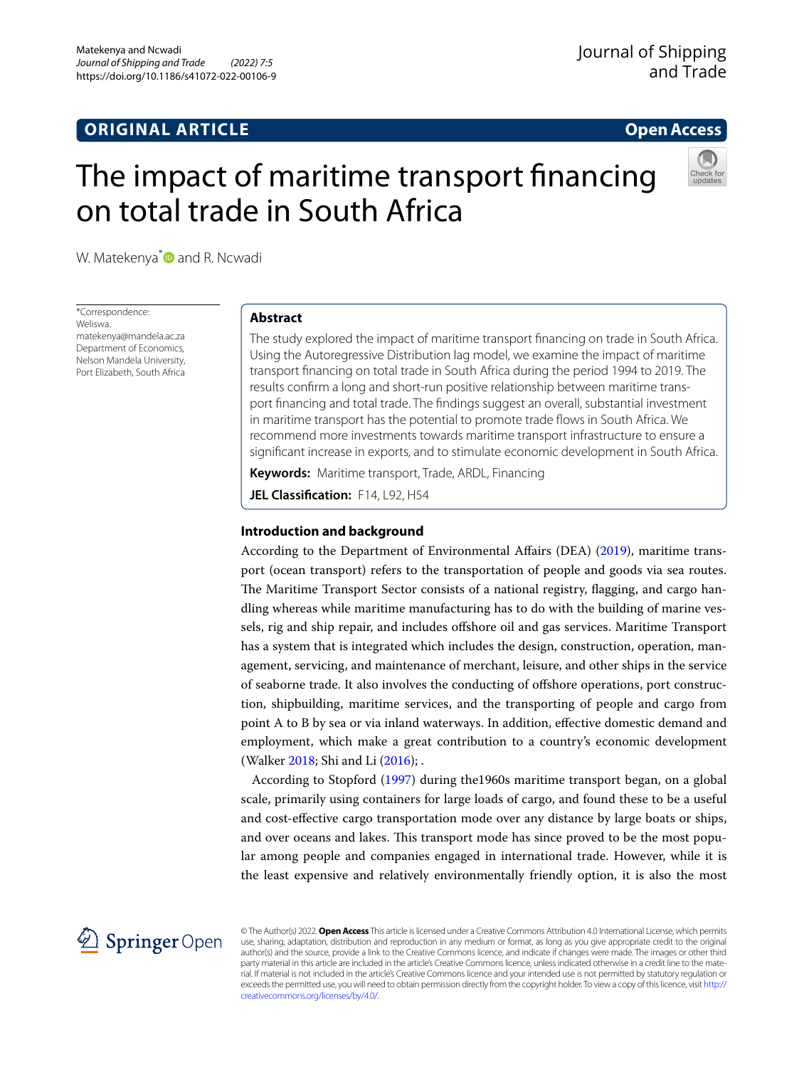# **ORIGINAL ARTICLE**

# **Open Access**

# The impact of maritime transport fnancing on total trade in South Africa



W. Matekenya<sup>[\\*](http://orcid.org/0000-0003-0002-462X)</sup> and R. Ncwadi

\*Correspondence: Weliswa. matekenya@mandela.ac.za Department of Economics, Nelson Mandela University, Port Elizabeth, South Africa

# **Abstract**

The study explored the impact of maritime transport fnancing on trade in South Africa. Using the Autoregressive Distribution lag model, we examine the impact of maritime transport fnancing on total trade in South Africa during the period 1994 to 2019. The results confrm a long and short-run positive relationship between maritime transport fnancing and total trade. The fndings suggest an overall, substantial investment in maritime transport has the potential to promote trade fows in South Africa. We recommend more investments towards maritime transport infrastructure to ensure a signifcant increase in exports, and to stimulate economic development in South Africa.

**Keywords:** Maritime transport, Trade, ARDL, Financing

**JEL Classification:** F14, L92, H54

# **Introduction and background**

According to the Department of Environmental Afairs (DEA) ([2019](#page-15-0)), maritime transport (ocean transport) refers to the transportation of people and goods via sea routes. The Maritime Transport Sector consists of a national registry, flagging, and cargo handling whereas while maritime manufacturing has to do with the building of marine vessels, rig and ship repair, and includes ofshore oil and gas services. Maritime Transport has a system that is integrated which includes the design, construction, operation, management, servicing, and maintenance of merchant, leisure, and other ships in the service of seaborne trade. It also involves the conducting of ofshore operations, port construction, shipbuilding, maritime services, and the transporting of people and cargo from point A to B by sea or via inland waterways. In addition, efective domestic demand and employment, which make a great contribution to a country's economic development (Walker [2018](#page-16-0); Shi and Li ([2016](#page-16-1)); .

According to Stopford [\(1997\)](#page-16-2) during the1960s maritime transport began, on a global scale, primarily using containers for large loads of cargo, and found these to be a useful and cost-efective cargo transportation mode over any distance by large boats or ships, and over oceans and lakes. This transport mode has since proved to be the most popular among people and companies engaged in international trade. However, while it is the least expensive and relatively environmentally friendly option, it is also the most



© The Author(s) 2022. **Open Access** This article is licensed under a Creative Commons Attribution 4.0 International License, which permits use, sharing, adaptation, distribution and reproduction in any medium or format, as long as you give appropriate credit to the original author(s) and the source, provide a link to the Creative Commons licence, and indicate if changes were made. The images or other third party material in this article are included in the article's Creative Commons licence, unless indicated otherwise in a credit line to the material. If material is not included in the article's Creative Commons licence and your intended use is not permitted by statutory regulation or exceeds the permitted use, you will need to obtain permission directly from the copyright holder. To view a copy of this licence, visit [http://](http://creativecommons.org/licenses/by/4.0/) [creativecommons.org/licenses/by/4.0/.](http://creativecommons.org/licenses/by/4.0/)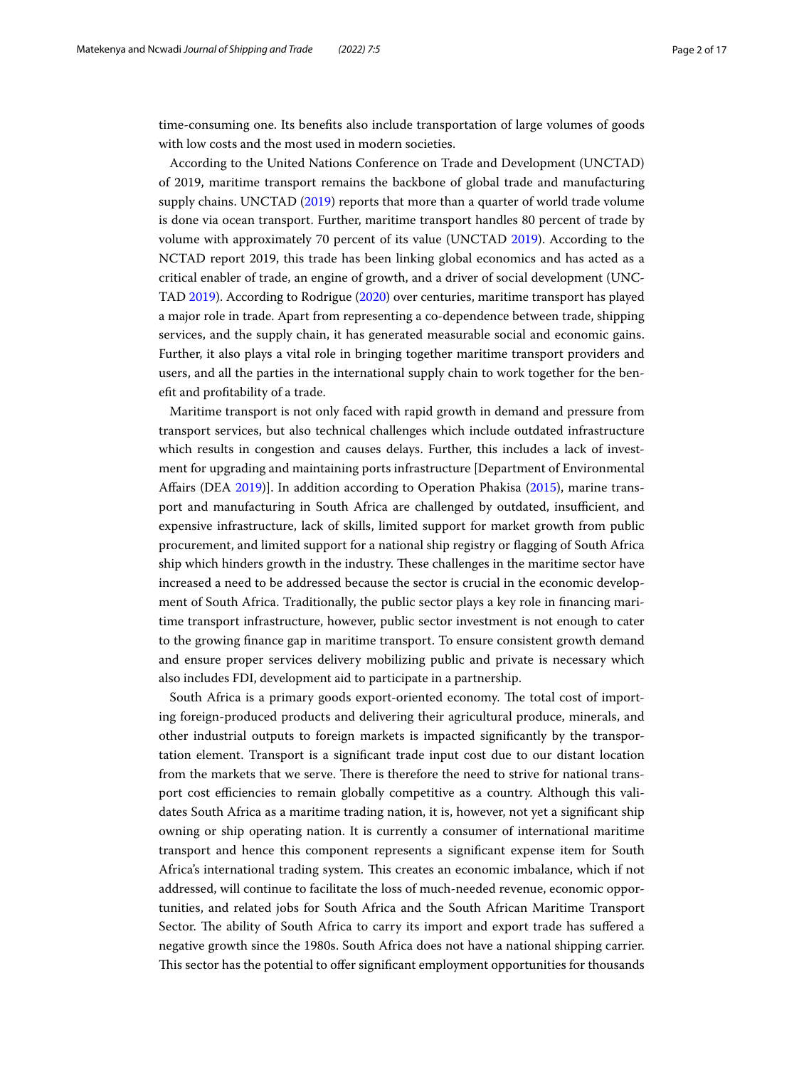time-consuming one. Its benefts also include transportation of large volumes of goods with low costs and the most used in modern societies.

According to the United Nations Conference on Trade and Development (UNCTAD) of 2019, maritime transport remains the backbone of global trade and manufacturing supply chains. UNCTAD ([2019](#page-16-3)) reports that more than a quarter of world trade volume is done via ocean transport. Further, maritime transport handles 80 percent of trade by volume with approximately 70 percent of its value (UNCTAD [2019\)](#page-16-3). According to the NCTAD report 2019, this trade has been linking global economics and has acted as a critical enabler of trade, an engine of growth, and a driver of social development (UNC-TAD [2019\)](#page-16-3). According to Rodrigue [\(2020](#page-16-4)) over centuries, maritime transport has played a major role in trade. Apart from representing a co-dependence between trade, shipping services, and the supply chain, it has generated measurable social and economic gains. Further, it also plays a vital role in bringing together maritime transport providers and users, and all the parties in the international supply chain to work together for the beneft and proftability of a trade.

Maritime transport is not only faced with rapid growth in demand and pressure from transport services, but also technical challenges which include outdated infrastructure which results in congestion and causes delays. Further, this includes a lack of investment for upgrading and maintaining ports infrastructure [Department of Environmental Afairs (DEA [2019](#page-15-0))]. In addition according to Operation Phakisa ([2015](#page-16-5)), marine transport and manufacturing in South Africa are challenged by outdated, insufficient, and expensive infrastructure, lack of skills, limited support for market growth from public procurement, and limited support for a national ship registry or fagging of South Africa ship which hinders growth in the industry. These challenges in the maritime sector have increased a need to be addressed because the sector is crucial in the economic development of South Africa. Traditionally, the public sector plays a key role in fnancing maritime transport infrastructure, however, public sector investment is not enough to cater to the growing fnance gap in maritime transport. To ensure consistent growth demand and ensure proper services delivery mobilizing public and private is necessary which also includes FDI, development aid to participate in a partnership.

South Africa is a primary goods export-oriented economy. The total cost of importing foreign-produced products and delivering their agricultural produce, minerals, and other industrial outputs to foreign markets is impacted signifcantly by the transportation element. Transport is a signifcant trade input cost due to our distant location from the markets that we serve. There is therefore the need to strive for national transport cost efficiencies to remain globally competitive as a country. Although this validates South Africa as a maritime trading nation, it is, however, not yet a signifcant ship owning or ship operating nation. It is currently a consumer of international maritime transport and hence this component represents a signifcant expense item for South Africa's international trading system. Tis creates an economic imbalance, which if not addressed, will continue to facilitate the loss of much-needed revenue, economic opportunities, and related jobs for South Africa and the South African Maritime Transport Sector. The ability of South Africa to carry its import and export trade has suffered a negative growth since the 1980s. South Africa does not have a national shipping carrier. This sector has the potential to offer significant employment opportunities for thousands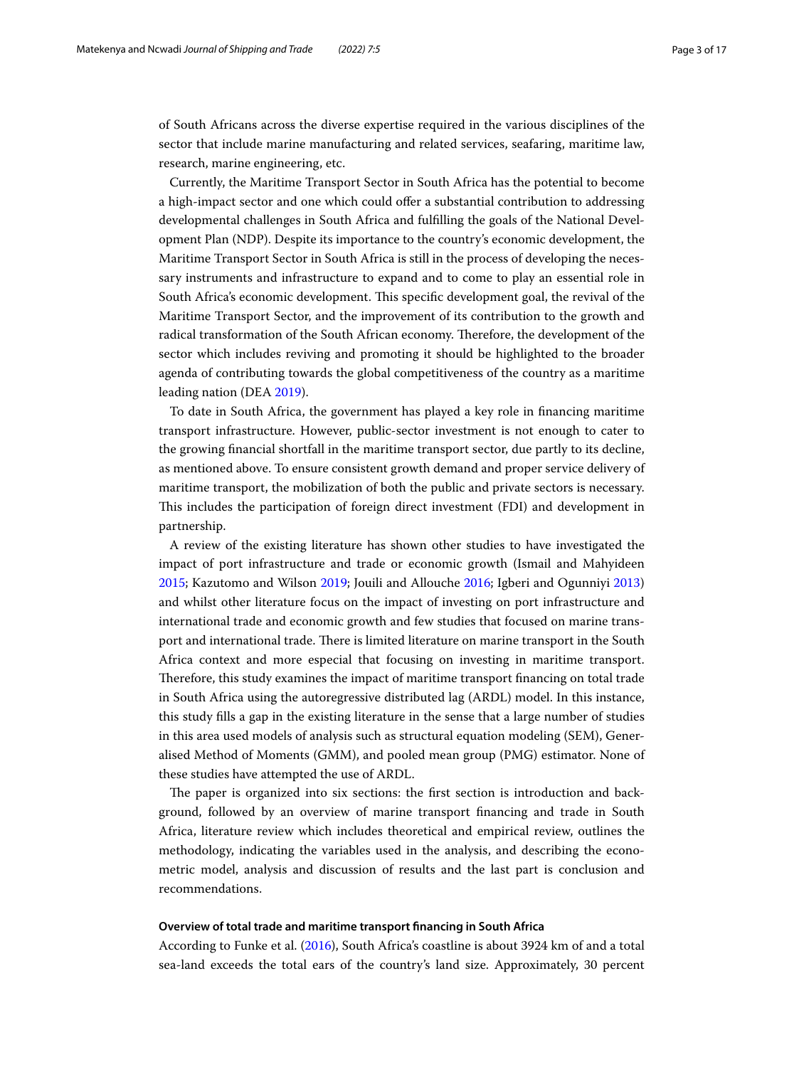of South Africans across the diverse expertise required in the various disciplines of the sector that include marine manufacturing and related services, seafaring, maritime law, research, marine engineering, etc.

Currently, the Maritime Transport Sector in South Africa has the potential to become a high-impact sector and one which could ofer a substantial contribution to addressing developmental challenges in South Africa and fulflling the goals of the National Development Plan (NDP). Despite its importance to the country's economic development, the Maritime Transport Sector in South Africa is still in the process of developing the necessary instruments and infrastructure to expand and to come to play an essential role in South Africa's economic development. Tis specifc development goal, the revival of the Maritime Transport Sector, and the improvement of its contribution to the growth and radical transformation of the South African economy. Therefore, the development of the sector which includes reviving and promoting it should be highlighted to the broader agenda of contributing towards the global competitiveness of the country as a maritime leading nation (DEA [2019](#page-15-0)).

To date in South Africa, the government has played a key role in fnancing maritime transport infrastructure. However, public-sector investment is not enough to cater to the growing fnancial shortfall in the maritime transport sector, due partly to its decline, as mentioned above. To ensure consistent growth demand and proper service delivery of maritime transport, the mobilization of both the public and private sectors is necessary. Tis includes the participation of foreign direct investment (FDI) and development in partnership.

A review of the existing literature has shown other studies to have investigated the impact of port infrastructure and trade or economic growth (Ismail and Mahyideen [2015](#page-15-1); Kazutomo and Wilson [2019](#page-16-6); Jouili and Allouche [2016](#page-16-7); Igberi and Ogunniyi [2013](#page-15-2)) and whilst other literature focus on the impact of investing on port infrastructure and international trade and economic growth and few studies that focused on marine transport and international trade. There is limited literature on marine transport in the South Africa context and more especial that focusing on investing in maritime transport. Therefore, this study examines the impact of maritime transport financing on total trade in South Africa using the autoregressive distributed lag (ARDL) model. In this instance, this study flls a gap in the existing literature in the sense that a large number of studies in this area used models of analysis such as structural equation modeling (SEM), Generalised Method of Moments (GMM), and pooled mean group (PMG) estimator. None of these studies have attempted the use of ARDL.

The paper is organized into six sections: the first section is introduction and background, followed by an overview of marine transport fnancing and trade in South Africa, literature review which includes theoretical and empirical review, outlines the methodology, indicating the variables used in the analysis, and describing the econometric model, analysis and discussion of results and the last part is conclusion and recommendations.

### **Overview of total trade and maritime transport fnancing in South Africa**

According to Funke et al. ([2016\)](#page-15-3), South Africa's coastline is about 3924 km of and a total sea-land exceeds the total ears of the country's land size. Approximately, 30 percent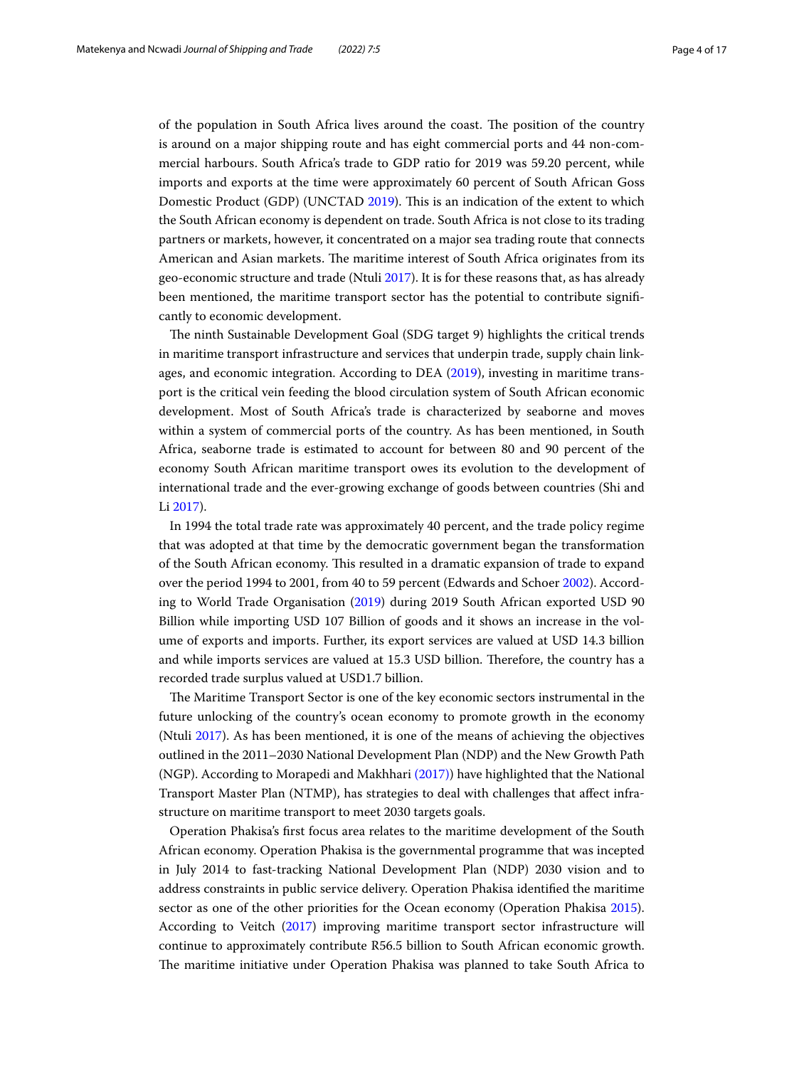of the population in South Africa lives around the coast. The position of the country is around on a major shipping route and has eight commercial ports and 44 non-commercial harbours. South Africa's trade to GDP ratio for 2019 was 59.20 percent, while imports and exports at the time were approximately 60 percent of South African Goss Domestic Product (GDP) (UNCTAD [2019](#page-16-3)). This is an indication of the extent to which the South African economy is dependent on trade. South Africa is not close to its trading partners or markets, however, it concentrated on a major sea trading route that connects American and Asian markets. The maritime interest of South Africa originates from its geo-economic structure and trade (Ntuli [2017\)](#page-16-8). It is for these reasons that, as has already been mentioned, the maritime transport sector has the potential to contribute signifcantly to economic development.

The ninth Sustainable Development Goal (SDG target 9) highlights the critical trends in maritime transport infrastructure and services that underpin trade, supply chain linkages, and economic integration. According to DEA ([2019\)](#page-15-0), investing in maritime transport is the critical vein feeding the blood circulation system of South African economic development. Most of South Africa's trade is characterized by seaborne and moves within a system of commercial ports of the country. As has been mentioned, in South Africa, seaborne trade is estimated to account for between 80 and 90 percent of the economy South African maritime transport owes its evolution to the development of international trade and the ever-growing exchange of goods between countries (Shi and Li [2017\)](#page-16-9).

In 1994 the total trade rate was approximately 40 percent, and the trade policy regime that was adopted at that time by the democratic government began the transformation of the South African economy. Tis resulted in a dramatic expansion of trade to expand over the period 1994 to 2001, from 40 to 59 percent (Edwards and Schoer [2002\)](#page-15-4). According to World Trade Organisation ([2019](#page-16-10)) during 2019 South African exported USD 90 Billion while importing USD 107 Billion of goods and it shows an increase in the volume of exports and imports. Further, its export services are valued at USD 14.3 billion and while imports services are valued at 15.3 USD billion. Therefore, the country has a recorded trade surplus valued at USD1.7 billion.

The Maritime Transport Sector is one of the key economic sectors instrumental in the future unlocking of the country's ocean economy to promote growth in the economy (Ntuli [2017\)](#page-16-8). As has been mentioned, it is one of the means of achieving the objectives outlined in the 2011–2030 National Development Plan (NDP) and the New Growth Path (NGP). According to Morapedi and Makhhari [\(2017\)](#page-16-11)) have highlighted that the National Transport Master Plan (NTMP), has strategies to deal with challenges that afect infrastructure on maritime transport to meet 2030 targets goals.

Operation Phakisa's frst focus area relates to the maritime development of the South African economy. Operation Phakisa is the governmental programme that was incepted in July 2014 to fast-tracking National Development Plan (NDP) 2030 vision and to address constraints in public service delivery. Operation Phakisa identifed the maritime sector as one of the other priorities for the Ocean economy (Operation Phakisa [2015](#page-16-5)). According to Veitch ([2017](#page-16-12)) improving maritime transport sector infrastructure will continue to approximately contribute R56.5 billion to South African economic growth. The maritime initiative under Operation Phakisa was planned to take South Africa to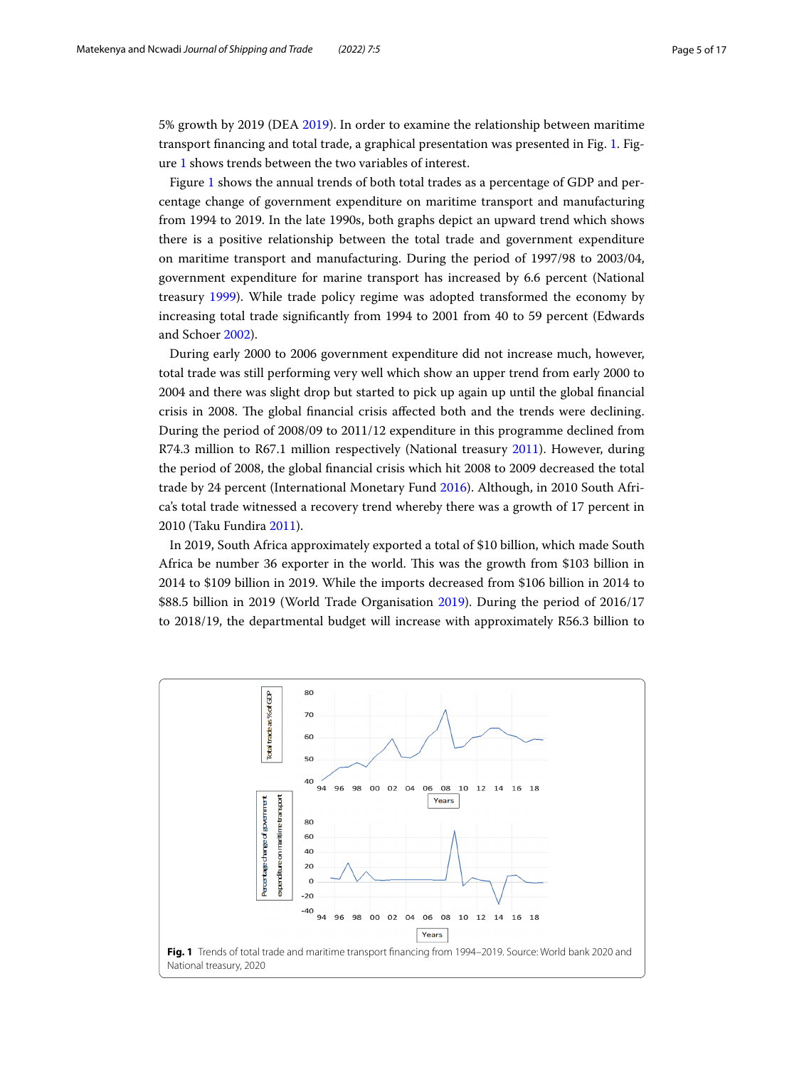5% growth by 2019 (DEA [2019\)](#page-15-0). In order to examine the relationship between maritime transport fnancing and total trade, a graphical presentation was presented in Fig. [1](#page-4-0). Figure [1](#page-4-0) shows trends between the two variables of interest.

Figure [1](#page-4-0) shows the annual trends of both total trades as a percentage of GDP and percentage change of government expenditure on maritime transport and manufacturing from 1994 to 2019. In the late 1990s, both graphs depict an upward trend which shows there is a positive relationship between the total trade and government expenditure on maritime transport and manufacturing. During the period of 1997/98 to 2003/04, government expenditure for marine transport has increased by 6.6 percent (National treasury [1999\)](#page-16-13). While trade policy regime was adopted transformed the economy by increasing total trade signifcantly from 1994 to 2001 from 40 to 59 percent (Edwards and Schoer [2002\)](#page-15-4).

During early 2000 to 2006 government expenditure did not increase much, however, total trade was still performing very well which show an upper trend from early 2000 to 2004 and there was slight drop but started to pick up again up until the global fnancial crisis in 2008. The global financial crisis affected both and the trends were declining. During the period of 2008/09 to 2011/12 expenditure in this programme declined from R74.3 million to R67.1 million respectively (National treasury [2011](#page-16-14)). However, during the period of 2008, the global fnancial crisis which hit 2008 to 2009 decreased the total trade by 24 percent (International Monetary Fund [2016\)](#page-15-5). Although, in 2010 South Africa's total trade witnessed a recovery trend whereby there was a growth of 17 percent in 2010 (Taku Fundira [2011](#page-16-15)).

In 2019, South Africa approximately exported a total of \$10 billion, which made South Africa be number 36 exporter in the world. Tis was the growth from \$103 billion in 2014 to \$109 billion in 2019. While the imports decreased from \$106 billion in 2014 to \$88.5 billion in 2019 (World Trade Organisation [2019](#page-16-10)). During the period of 2016/17 to 2018/19, the departmental budget will increase with approximately R56.3 billion to

<span id="page-4-0"></span>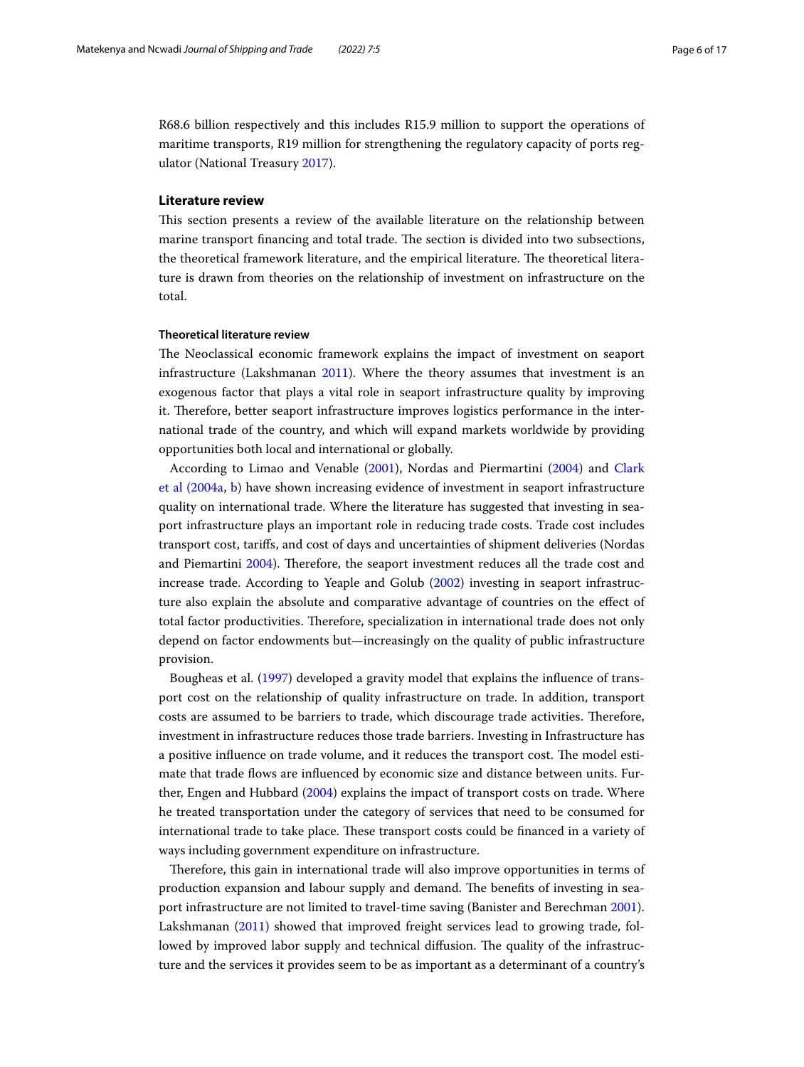R68.6 billion respectively and this includes R15.9 million to support the operations of maritime transports, R19 million for strengthening the regulatory capacity of ports regulator (National Treasury [2017\)](#page-16-16).

## **Literature review**

This section presents a review of the available literature on the relationship between marine transport financing and total trade. The section is divided into two subsections, the theoretical framework literature, and the empirical literature. The theoretical literature is drawn from theories on the relationship of investment on infrastructure on the total.

#### **Theoretical literature review**

The Neoclassical economic framework explains the impact of investment on seaport infrastructure (Lakshmanan [2011](#page-16-17)). Where the theory assumes that investment is an exogenous factor that plays a vital role in seaport infrastructure quality by improving it. Therefore, better seaport infrastructure improves logistics performance in the international trade of the country, and which will expand markets worldwide by providing opportunities both local and international or globally.

According to Limao and Venable [\(2001\)](#page-16-18), Nordas and Piermartini [\(2004\)](#page-16-19) and [Clark](#page-15-6)  [et al \(2004a,](#page-15-6) [b](#page-15-7)) have shown increasing evidence of investment in seaport infrastructure quality on international trade. Where the literature has suggested that investing in seaport infrastructure plays an important role in reducing trade costs. Trade cost includes transport cost, tarifs, and cost of days and uncertainties of shipment deliveries (Nordas and Piemartini [2004](#page-16-19)). Therefore, the seaport investment reduces all the trade cost and increase trade. According to Yeaple and Golub [\(2002](#page-16-10)) investing in seaport infrastructure also explain the absolute and comparative advantage of countries on the efect of total factor productivities. Therefore, specialization in international trade does not only depend on factor endowments but—increasingly on the quality of public infrastructure provision.

Bougheas et al. ([1997\)](#page-15-8) developed a gravity model that explains the infuence of transport cost on the relationship of quality infrastructure on trade. In addition, transport costs are assumed to be barriers to trade, which discourage trade activities. Therefore, investment in infrastructure reduces those trade barriers. Investing in Infrastructure has a positive influence on trade volume, and it reduces the transport cost. The model estimate that trade fows are infuenced by economic size and distance between units. Further, Engen and Hubbard [\(2004\)](#page-15-9) explains the impact of transport costs on trade. Where he treated transportation under the category of services that need to be consumed for international trade to take place. These transport costs could be financed in a variety of ways including government expenditure on infrastructure.

Therefore, this gain in international trade will also improve opportunities in terms of production expansion and labour supply and demand. The benefits of investing in seaport infrastructure are not limited to travel-time saving (Banister and Berechman [2001](#page-15-10)). Lakshmanan ([2011\)](#page-16-17) showed that improved freight services lead to growing trade, followed by improved labor supply and technical diffusion. The quality of the infrastructure and the services it provides seem to be as important as a determinant of a country's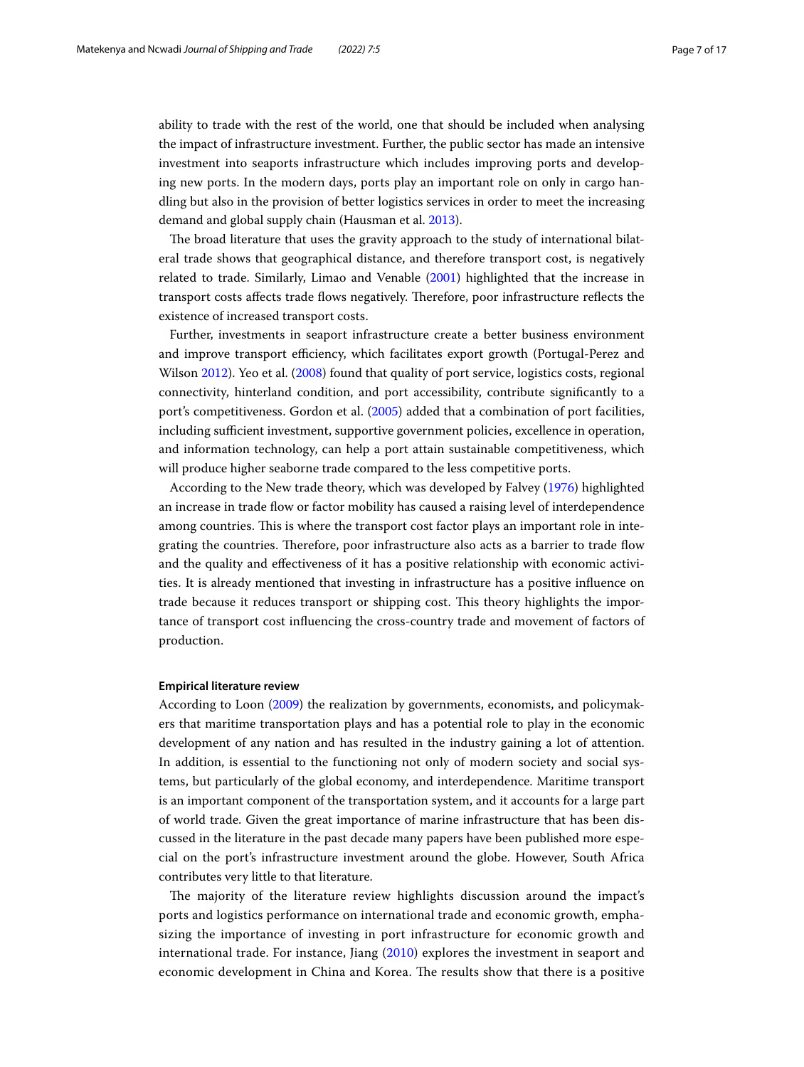ability to trade with the rest of the world, one that should be included when analysing the impact of infrastructure investment. Further, the public sector has made an intensive investment into seaports infrastructure which includes improving ports and developing new ports. In the modern days, ports play an important role on only in cargo handling but also in the provision of better logistics services in order to meet the increasing demand and global supply chain (Hausman et al. [2013](#page-15-11)).

The broad literature that uses the gravity approach to the study of international bilateral trade shows that geographical distance, and therefore transport cost, is negatively related to trade. Similarly, Limao and Venable ([2001](#page-16-18)) highlighted that the increase in transport costs affects trade flows negatively. Therefore, poor infrastructure reflects the existence of increased transport costs.

Further, investments in seaport infrastructure create a better business environment and improve transport efficiency, which facilitates export growth (Portugal-Perez and Wilson [2012\)](#page-16-20). Yeo et al. [\(2008\)](#page-16-21) found that quality of port service, logistics costs, regional connectivity, hinterland condition, and port accessibility, contribute signifcantly to a port's competitiveness. Gordon et al. [\(2005](#page-15-12)) added that a combination of port facilities, including sufficient investment, supportive government policies, excellence in operation, and information technology, can help a port attain sustainable competitiveness, which will produce higher seaborne trade compared to the less competitive ports.

According to the New trade theory, which was developed by Falvey ([1976\)](#page-15-13) highlighted an increase in trade fow or factor mobility has caused a raising level of interdependence among countries. This is where the transport cost factor plays an important role in integrating the countries. Therefore, poor infrastructure also acts as a barrier to trade flow and the quality and efectiveness of it has a positive relationship with economic activities. It is already mentioned that investing in infrastructure has a positive infuence on trade because it reduces transport or shipping cost. Tis theory highlights the importance of transport cost infuencing the cross-country trade and movement of factors of production.

#### **Empirical literature review**

According to Loon ([2009\)](#page-16-22) the realization by governments, economists, and policymakers that maritime transportation plays and has a potential role to play in the economic development of any nation and has resulted in the industry gaining a lot of attention. In addition, is essential to the functioning not only of modern society and social systems, but particularly of the global economy, and interdependence. Maritime transport is an important component of the transportation system, and it accounts for a large part of world trade. Given the great importance of marine infrastructure that has been discussed in the literature in the past decade many papers have been published more especial on the port's infrastructure investment around the globe. However, South Africa contributes very little to that literature.

The majority of the literature review highlights discussion around the impact's ports and logistics performance on international trade and economic growth, emphasizing the importance of investing in port infrastructure for economic growth and international trade. For instance, Jiang [\(2010\)](#page-16-23) explores the investment in seaport and economic development in China and Korea. The results show that there is a positive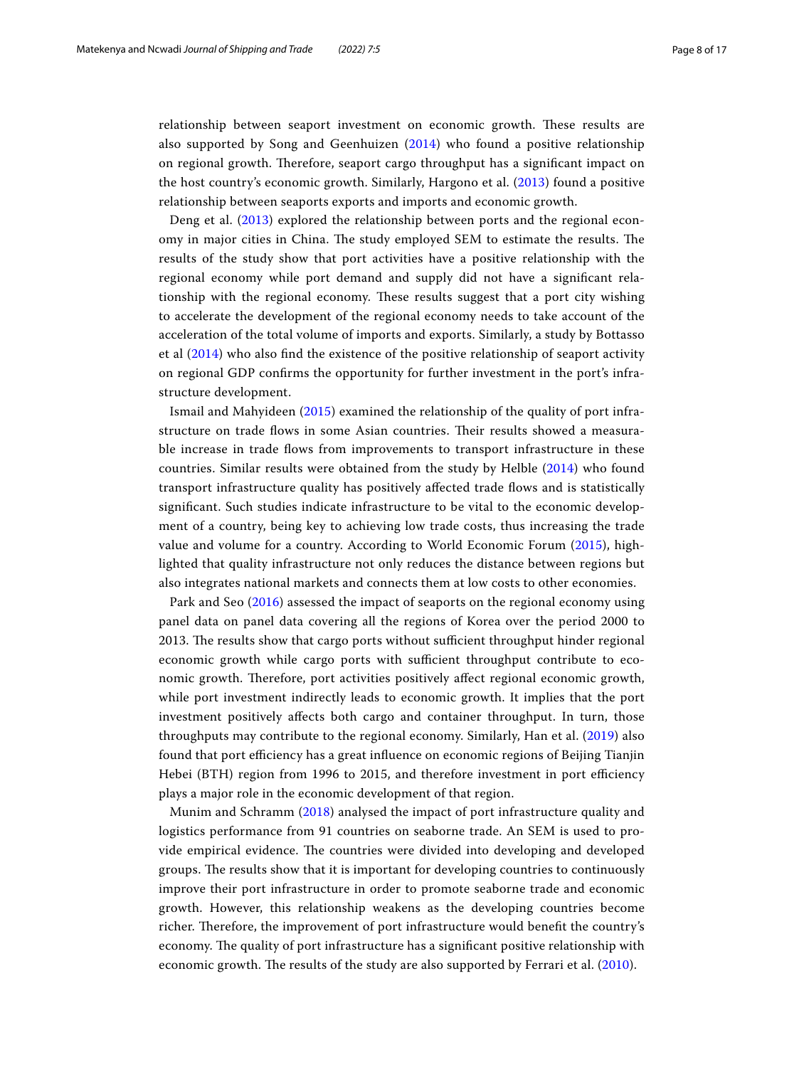relationship between seaport investment on economic growth. These results are also supported by Song and Geenhuizen ([2014](#page-16-2)) who found a positive relationship on regional growth. Therefore, seaport cargo throughput has a significant impact on the host country's economic growth. Similarly, Hargono et al. ([2013\)](#page-15-14) found a positive relationship between seaports exports and imports and economic growth.

Deng et al. ([2013](#page-15-15)) explored the relationship between ports and the regional economy in major cities in China. The study employed SEM to estimate the results. The results of the study show that port activities have a positive relationship with the regional economy while port demand and supply did not have a signifcant relationship with the regional economy. These results suggest that a port city wishing to accelerate the development of the regional economy needs to take account of the acceleration of the total volume of imports and exports. Similarly, a study by Bottasso et al ([2014](#page-15-16)) who also fnd the existence of the positive relationship of seaport activity on regional GDP confrms the opportunity for further investment in the port's infrastructure development.

Ismail and Mahyideen [\(2015](#page-15-1)) examined the relationship of the quality of port infrastructure on trade flows in some Asian countries. Their results showed a measurable increase in trade fows from improvements to transport infrastructure in these countries. Similar results were obtained from the study by Helble ([2014](#page-15-17)) who found transport infrastructure quality has positively afected trade fows and is statistically signifcant. Such studies indicate infrastructure to be vital to the economic development of a country, being key to achieving low trade costs, thus increasing the trade value and volume for a country. According to World Economic Forum [\(2015](#page-16-9)), highlighted that quality infrastructure not only reduces the distance between regions but also integrates national markets and connects them at low costs to other economies.

Park and Seo ([2016](#page-16-24)) assessed the impact of seaports on the regional economy using panel data on panel data covering all the regions of Korea over the period 2000 to 2013. The results show that cargo ports without sufficient throughput hinder regional economic growth while cargo ports with sufficient throughput contribute to economic growth. Therefore, port activities positively affect regional economic growth, while port investment indirectly leads to economic growth. It implies that the port investment positively afects both cargo and container throughput. In turn, those throughputs may contribute to the regional economy. Similarly, Han et al. ([2019](#page-15-18)) also found that port efficiency has a great influence on economic regions of Beijing Tianjin Hebei (BTH) region from 1996 to 2015, and therefore investment in port efficiency plays a major role in the economic development of that region.

Munim and Schramm [\(2018\)](#page-16-25) analysed the impact of port infrastructure quality and logistics performance from 91 countries on seaborne trade. An SEM is used to provide empirical evidence. The countries were divided into developing and developed groups. The results show that it is important for developing countries to continuously improve their port infrastructure in order to promote seaborne trade and economic growth. However, this relationship weakens as the developing countries become richer. Therefore, the improvement of port infrastructure would benefit the country's economy. The quality of port infrastructure has a significant positive relationship with economic growth. The results of the study are also supported by Ferrari et al. [\(2010](#page-15-19)).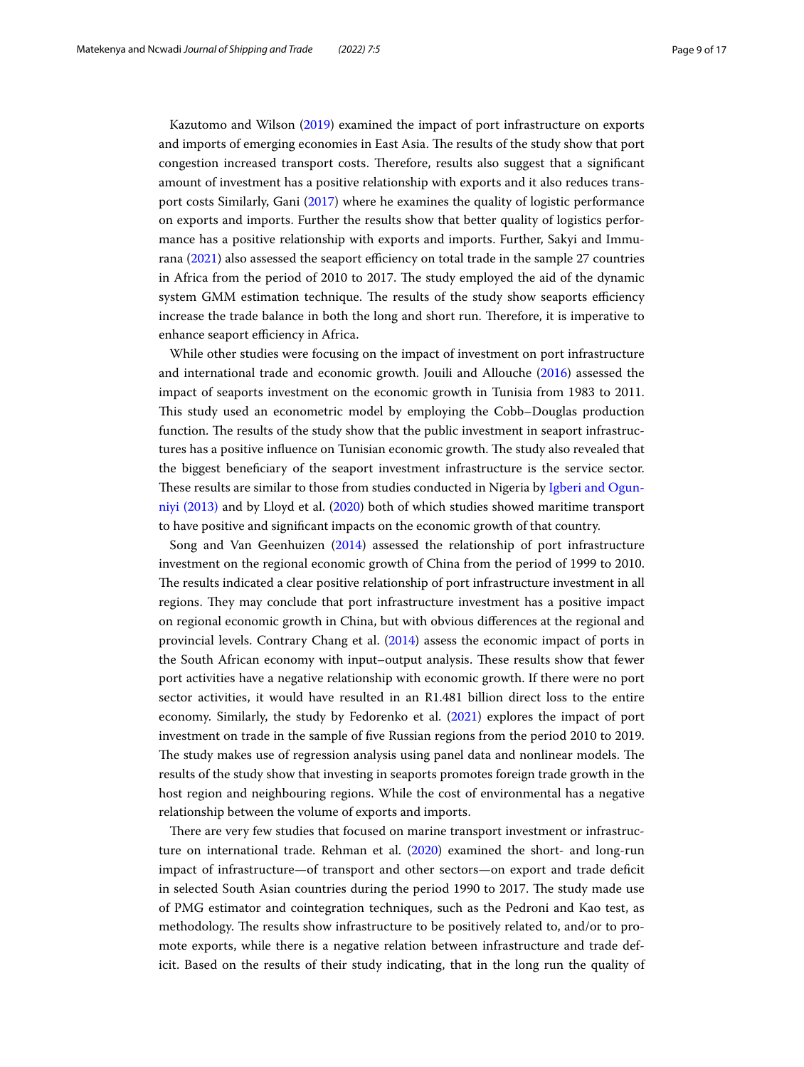Kazutomo and Wilson [\(2019\)](#page-16-6) examined the impact of port infrastructure on exports and imports of emerging economies in East Asia. The results of the study show that port congestion increased transport costs. Therefore, results also suggest that a significant amount of investment has a positive relationship with exports and it also reduces transport costs Similarly, Gani [\(2017\)](#page-15-20) where he examines the quality of logistic performance on exports and imports. Further the results show that better quality of logistics performance has a positive relationship with exports and imports. Further, Sakyi and Immurana  $(2021)$  $(2021)$  also assessed the seaport efficiency on total trade in the sample 27 countries in Africa from the period of 2010 to 2017. The study employed the aid of the dynamic system GMM estimation technique. The results of the study show seaports efficiency increase the trade balance in both the long and short run. Therefore, it is imperative to enhance seaport efficiency in Africa.

While other studies were focusing on the impact of investment on port infrastructure and international trade and economic growth. Jouili and Allouche ([2016](#page-16-7)) assessed the impact of seaports investment on the economic growth in Tunisia from 1983 to 2011. Tis study used an econometric model by employing the Cobb–Douglas production function. The results of the study show that the public investment in seaport infrastructures has a positive influence on Tunisian economic growth. The study also revealed that the biggest benefciary of the seaport investment infrastructure is the service sector. These results are similar to those from studies conducted in Nigeria by [Igberi and Ogun](#page-15-2)[niyi \(2013\)](#page-15-2) and by Lloyd et al. [\(2020\)](#page-16-27) both of which studies showed maritime transport to have positive and signifcant impacts on the economic growth of that country.

Song and Van Geenhuizen ([2014](#page-16-28)) assessed the relationship of port infrastructure investment on the regional economic growth of China from the period of 1999 to 2010. The results indicated a clear positive relationship of port infrastructure investment in all regions. They may conclude that port infrastructure investment has a positive impact on regional economic growth in China, but with obvious diferences at the regional and provincial levels. Contrary Chang et al. ([2014\)](#page-15-21) assess the economic impact of ports in the South African economy with input–output analysis. These results show that fewer port activities have a negative relationship with economic growth. If there were no port sector activities, it would have resulted in an R1.481 billion direct loss to the entire economy. Similarly, the study by Fedorenko et al. [\(2021\)](#page-15-22) explores the impact of port investment on trade in the sample of fve Russian regions from the period 2010 to 2019. The study makes use of regression analysis using panel data and nonlinear models. The results of the study show that investing in seaports promotes foreign trade growth in the host region and neighbouring regions. While the cost of environmental has a negative relationship between the volume of exports and imports.

There are very few studies that focused on marine transport investment or infrastruc-ture on international trade. Rehman et al. ([2020](#page-16-29)) examined the short- and long-run impact of infrastructure—of transport and other sectors—on export and trade defcit in selected South Asian countries during the period 1990 to 2017. The study made use of PMG estimator and cointegration techniques, such as the Pedroni and Kao test, as methodology. The results show infrastructure to be positively related to, and/or to promote exports, while there is a negative relation between infrastructure and trade deficit. Based on the results of their study indicating, that in the long run the quality of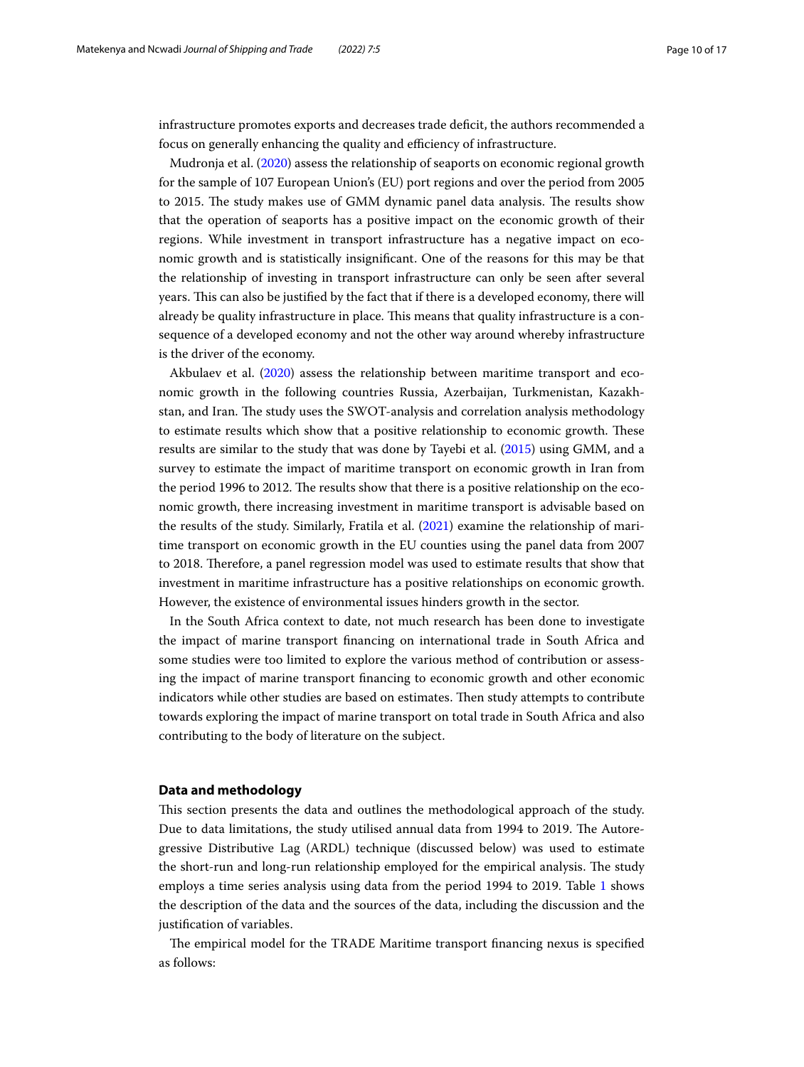infrastructure promotes exports and decreases trade defcit, the authors recommended a focus on generally enhancing the quality and efficiency of infrastructure.

Mudronja et al. [\(2020\)](#page-16-30) assess the relationship of seaports on economic regional growth for the sample of 107 European Union's (EU) port regions and over the period from 2005 to 2015. The study makes use of GMM dynamic panel data analysis. The results show that the operation of seaports has a positive impact on the economic growth of their regions. While investment in transport infrastructure has a negative impact on economic growth and is statistically insignifcant. One of the reasons for this may be that the relationship of investing in transport infrastructure can only be seen after several years. This can also be justified by the fact that if there is a developed economy, there will already be quality infrastructure in place. This means that quality infrastructure is a consequence of a developed economy and not the other way around whereby infrastructure is the driver of the economy.

Akbulaev et al. ([2020](#page-15-23)) assess the relationship between maritime transport and economic growth in the following countries Russia, Azerbaijan, Turkmenistan, Kazakhstan, and Iran. The study uses the SWOT-analysis and correlation analysis methodology to estimate results which show that a positive relationship to economic growth. These results are similar to the study that was done by Tayebi et al. ([2015\)](#page-16-31) using GMM, and a survey to estimate the impact of maritime transport on economic growth in Iran from the period 1996 to 2012. The results show that there is a positive relationship on the economic growth, there increasing investment in maritime transport is advisable based on the results of the study. Similarly, Fratila et al. [\(2021\)](#page-15-24) examine the relationship of maritime transport on economic growth in the EU counties using the panel data from 2007 to 2018. Therefore, a panel regression model was used to estimate results that show that investment in maritime infrastructure has a positive relationships on economic growth. However, the existence of environmental issues hinders growth in the sector.

In the South Africa context to date, not much research has been done to investigate the impact of marine transport fnancing on international trade in South Africa and some studies were too limited to explore the various method of contribution or assessing the impact of marine transport fnancing to economic growth and other economic indicators while other studies are based on estimates. Then study attempts to contribute towards exploring the impact of marine transport on total trade in South Africa and also contributing to the body of literature on the subject.

# **Data and methodology**

Tis section presents the data and outlines the methodological approach of the study. Due to data limitations, the study utilised annual data from 1994 to 2019. The Autoregressive Distributive Lag (ARDL) technique (discussed below) was used to estimate the short-run and long-run relationship employed for the empirical analysis. The study employs a time series analysis using data from the period 1994 to 2019. Table [1](#page-10-0) shows the description of the data and the sources of the data, including the discussion and the justifcation of variables.

The empirical model for the TRADE Maritime transport financing nexus is specified as follows: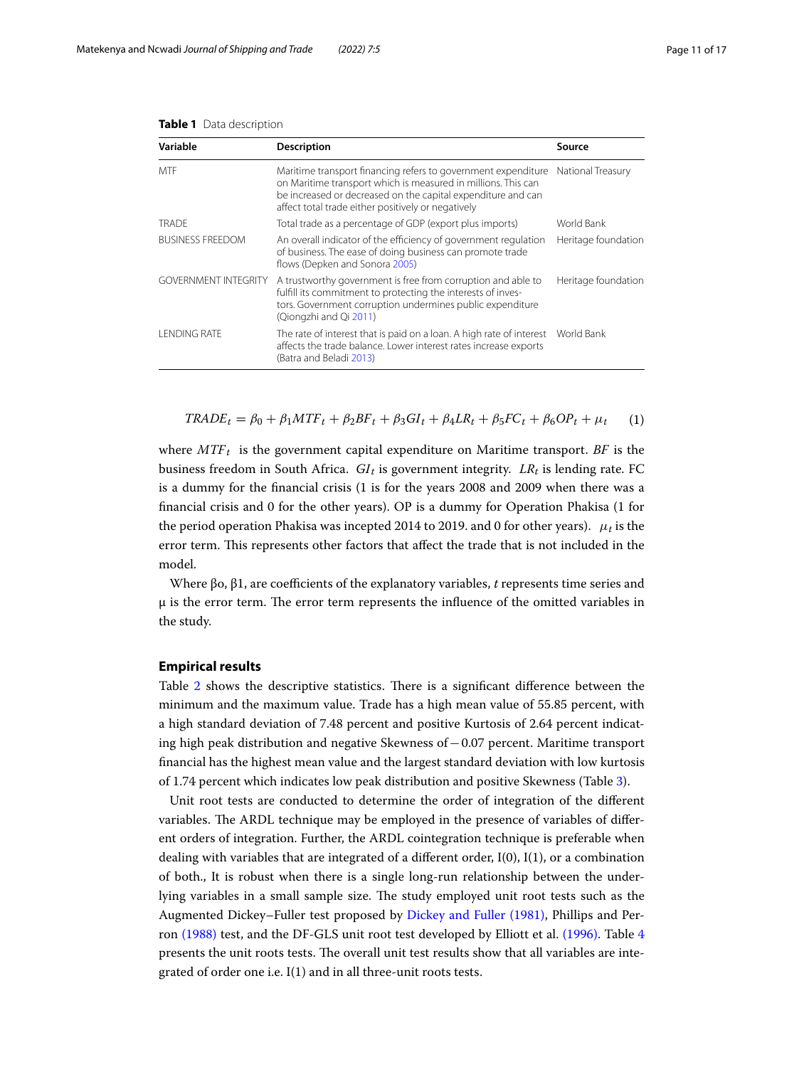| Variable                    | <b>Description</b>                                                                                                                                                                                                                                   | Source              |
|-----------------------------|------------------------------------------------------------------------------------------------------------------------------------------------------------------------------------------------------------------------------------------------------|---------------------|
| <b>MTF</b>                  | Maritime transport financing refers to government expenditure<br>on Maritime transport which is measured in millions. This can<br>be increased or decreased on the capital expenditure and can<br>affect total trade either positively or negatively | National Treasury   |
| <b>TRADE</b>                | Total trade as a percentage of GDP (export plus imports)                                                                                                                                                                                             | World Bank          |
| <b>BUSINESS FREEDOM</b>     | An overall indicator of the efficiency of government regulation<br>of business. The ease of doing business can promote trade<br>flows (Depken and Sonora 2005)                                                                                       | Heritage foundation |
| <b>GOVERNMENT INTEGRITY</b> | A trustworthy government is free from corruption and able to<br>fulfill its commitment to protecting the interests of inves-<br>tors. Government corruption undermines public expenditure<br>(Qiongzhi and Qi 2011)                                  | Heritage foundation |
| <b>I ENDING RATE</b>        | The rate of interest that is paid on a loan. A high rate of interest<br>affects the trade balance. Lower interest rates increase exports<br>(Batra and Beladi 2013)                                                                                  | World Bank          |

<span id="page-10-0"></span>

$$
TRADE_t = \beta_0 + \beta_1 MTF_t + \beta_2 BF_t + \beta_3 GI_t + \beta_4 LR_t + \beta_5 FC_t + \beta_6 OP_t + \mu_t \tag{1}
$$

where  $MTF_t$  is the government capital expenditure on Maritime transport. BF is the business freedom in South Africa.  $GI_t$  is government integrity.  $LR_t$  is lending rate. FC is a dummy for the fnancial crisis (1 is for the years 2008 and 2009 when there was a fnancial crisis and 0 for the other years). OP is a dummy for Operation Phakisa (1 for the period operation Phakisa was incepted 2014 to 2019. and 0 for other years).  $\mu_t$  is the error term. Tis represents other factors that afect the trade that is not included in the model.

Where βo,  $β1$ , are coefficients of the explanatory variables, *t* represents time series and  $\mu$  is the error term. The error term represents the influence of the omitted variables in the study.

# **Empirical results**

Table [2](#page-11-0) shows the descriptive statistics. There is a significant difference between the minimum and the maximum value. Trade has a high mean value of 55.85 percent, with a high standard deviation of 7.48 percent and positive Kurtosis of 2.64 percent indicating high peak distribution and negative Skewness of−0.07 percent. Maritime transport fnancial has the highest mean value and the largest standard deviation with low kurtosis of 1.74 percent which indicates low peak distribution and positive Skewness (Table [3\)](#page-11-1).

Unit root tests are conducted to determine the order of integration of the diferent variables. The ARDL technique may be employed in the presence of variables of different orders of integration. Further, the ARDL cointegration technique is preferable when dealing with variables that are integrated of a diferent order, I(0), I(1), or a combination of both., It is robust when there is a single long-run relationship between the underlying variables in a small sample size. The study employed unit root tests such as the Augmented Dickey–Fuller test proposed by [Dickey and Fuller \(1981\),](#page-15-25) Phillips and Perron [\(1988\)](#page-16-26) test, and the DF-GLS unit root test developed by Elliott et al. [\(1996\).](#page-15-26) Table [4](#page-11-2) presents the unit roots tests. The overall unit test results show that all variables are integrated of order one i.e. I(1) and in all three-unit roots tests.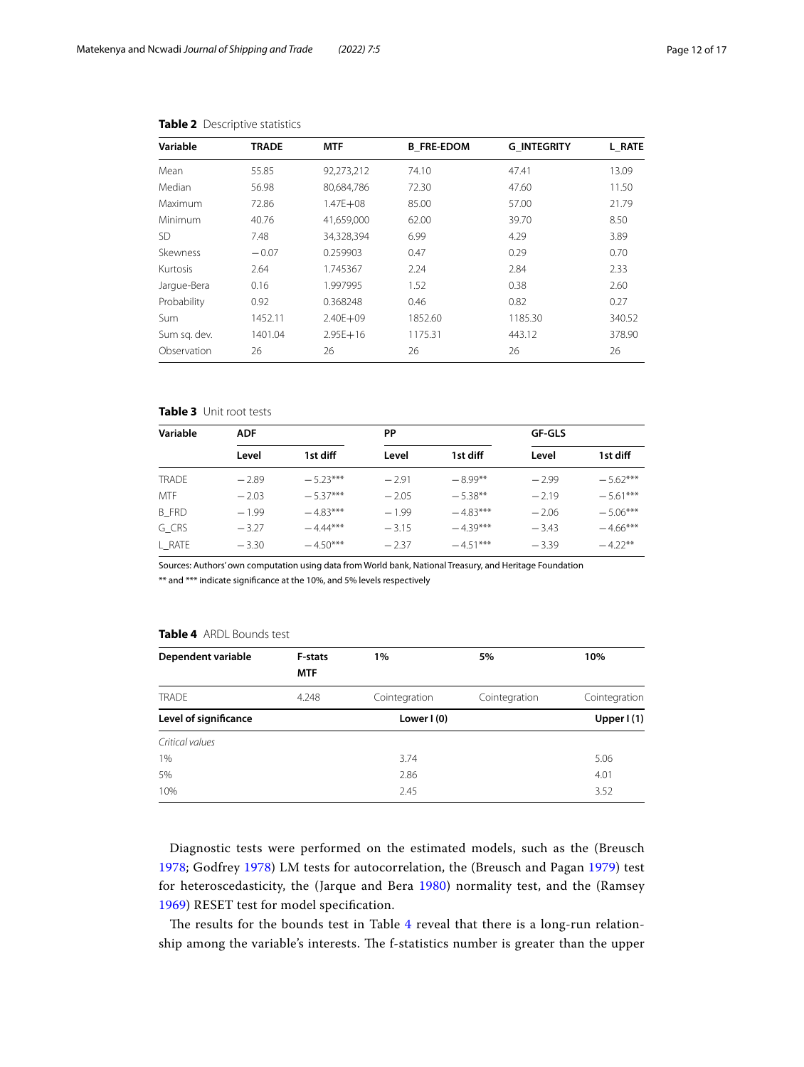| Variable     | <b>TRADE</b> | <b>MTF</b>   | <b>B FRE-EDOM</b> | <b>G INTEGRITY</b> | <b>L RATE</b> |
|--------------|--------------|--------------|-------------------|--------------------|---------------|
| Mean         | 55.85        | 92,273,212   | 74.10             | 47.41              | 13.09         |
| Median       | 56.98        | 80,684,786   | 72.30             | 47.60              | 11.50         |
| Maximum      | 72.86        | $1.47E + 08$ | 85.00             | 57.00              | 21.79         |
| Minimum      | 40.76        | 41,659,000   | 62.00             | 39.70              | 8.50          |
| <b>SD</b>    | 7.48         | 34,328,394   | 6.99              | 4.29               | 3.89          |
| Skewness     | $-0.07$      | 0.259903     | 0.47              | 0.29               | 0.70          |
| Kurtosis     | 2.64         | 1.745367     | 2.24              | 2.84               | 2.33          |
| Jarque-Bera  | 0.16         | 1.997995     | 1.52              | 0.38               | 2.60          |
| Probability  | 0.92         | 0.368248     | 0.46              | 0.82               | 0.27          |
| <b>Sum</b>   | 1452.11      | $2.40E + 09$ | 1852.60           | 1185.30            | 340.52        |
| Sum sq. dev. | 1401.04      | $2.95E + 16$ | 1175.31           | 443.12             | 378.90        |
| Observation  | 26           | 26           | 26                | 26                 | 26            |

### <span id="page-11-0"></span>**Table 2** Descriptive statistics

<span id="page-11-1"></span>**Table 3** Unit root tests

| Variable     | <b>ADF</b> |            | PP      |            | <b>GF-GLS</b> |            |
|--------------|------------|------------|---------|------------|---------------|------------|
|              | Level      | 1st diff   | Level   | 1st diff   | Level         | 1st diff   |
| <b>TRADE</b> | $-2.89$    | $-5.23***$ | $-2.91$ | $-8.99**$  | $-2.99$       | $-5.62***$ |
| <b>MTF</b>   | $-2.03$    | $-5.37***$ | $-2.05$ | $-5.38**$  | $-2.19$       | $-561***$  |
| <b>B</b> FRD | $-1.99$    | $-4.83***$ | $-1.99$ | $-4.83***$ | $-2.06$       | $-5.06***$ |
| G CRS        | $-3.27$    | $-4.44***$ | $-3.15$ | $-4.39***$ | $-3.43$       | $-4.66***$ |
| L RATE       | $-3.30$    | $-4.50***$ | $-237$  | $-4.51***$ | $-3.39$       | $-422**$   |

Sources: Authors' own computation using data from World bank, National Treasury, and Heritage Foundation

\*\* and \*\*\* indicate signifcance at the 10%, and 5% levels respectively

| Dependent variable    | <b>F-stats</b>      | 1%            | 5%            | 10%           |
|-----------------------|---------------------|---------------|---------------|---------------|
| <b>TRADE</b>          | <b>MTF</b><br>4.248 | Cointegration | Cointegration | Cointegration |
| Level of significance |                     | Lower I (0)   |               | Upper $I(1)$  |
| Critical values       |                     |               |               |               |
| 1%                    |                     | 3.74          |               | 5.06          |
| 5%                    |                     | 2.86          |               | 4.01          |
| 10%                   |                     | 2.45          |               | 3.52          |

# <span id="page-11-2"></span>**Table 4** ARDL Bounds test

Diagnostic tests were performed on the estimated models, such as the (Breusch [1978;](#page-15-29) Godfrey [1978\)](#page-15-30) LM tests for autocorrelation, the (Breusch and Pagan [1979](#page-15-31)) test for heteroscedasticity, the (Jarque and Bera [1980\)](#page-15-32) normality test, and the (Ramsey [1969\)](#page-16-33) RESET test for model specifcation.

The results for the bounds test in Table  $4$  reveal that there is a long-run relationship among the variable's interests. The f-statistics number is greater than the upper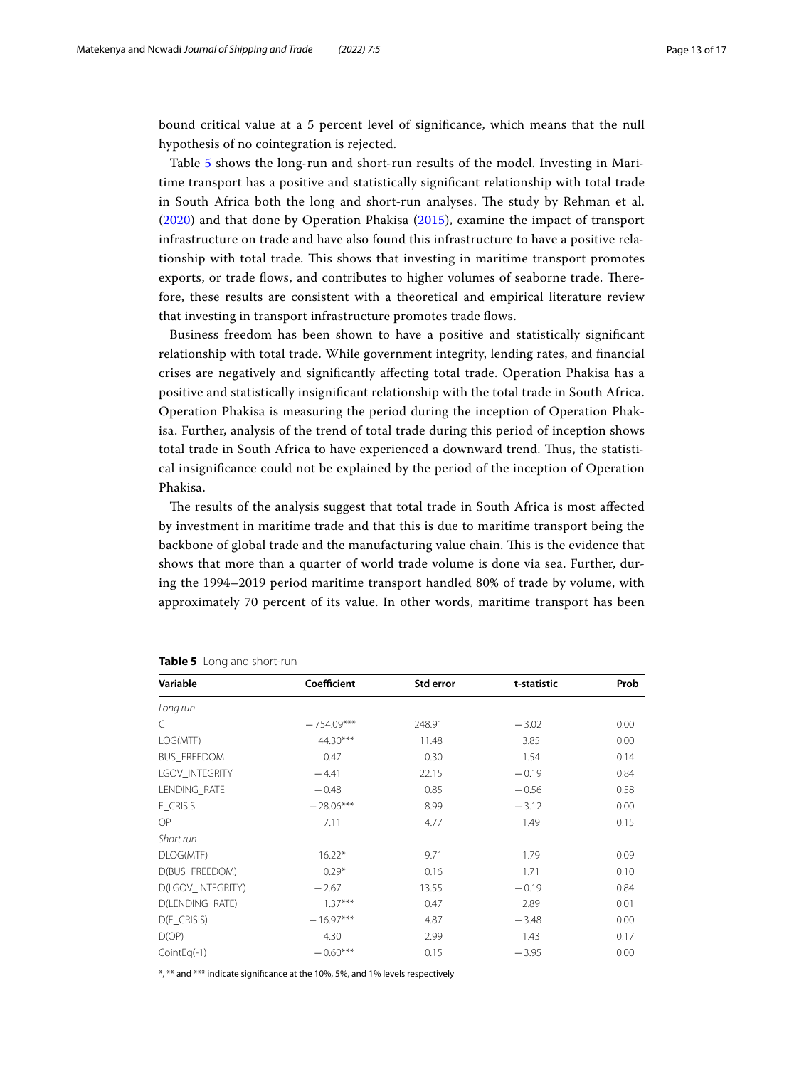bound critical value at a 5 percent level of signifcance, which means that the null hypothesis of no cointegration is rejected.

Table [5](#page-12-0) shows the long-run and short-run results of the model. Investing in Maritime transport has a positive and statistically signifcant relationship with total trade in South Africa both the long and short-run analyses. The study by Rehman et al. ([2020](#page-16-29)) and that done by Operation Phakisa ([2015\)](#page-16-5), examine the impact of transport infrastructure on trade and have also found this infrastructure to have a positive relationship with total trade. This shows that investing in maritime transport promotes exports, or trade flows, and contributes to higher volumes of seaborne trade. Therefore, these results are consistent with a theoretical and empirical literature review that investing in transport infrastructure promotes trade flows.

Business freedom has been shown to have a positive and statistically signifcant relationship with total trade. While government integrity, lending rates, and fnancial crises are negatively and signifcantly afecting total trade. Operation Phakisa has a positive and statistically insignifcant relationship with the total trade in South Africa. Operation Phakisa is measuring the period during the inception of Operation Phakisa. Further, analysis of the trend of total trade during this period of inception shows total trade in South Africa to have experienced a downward trend. Thus, the statistical insignifcance could not be explained by the period of the inception of Operation Phakisa.

The results of the analysis suggest that total trade in South Africa is most affected by investment in maritime trade and that this is due to maritime transport being the backbone of global trade and the manufacturing value chain. This is the evidence that shows that more than a quarter of world trade volume is done via sea. Further, during the 1994–2019 period maritime transport handled 80% of trade by volume, with approximately 70 percent of its value. In other words, maritime transport has been

| Variable              | Coefficient  | Std error | t-statistic | Prob |
|-----------------------|--------------|-----------|-------------|------|
| Long run              |              |           |             |      |
| C                     | $-754.09***$ | 248.91    | $-3.02$     | 0.00 |
| LOG(MTF)              | 44.30***     | 11.48     | 3.85        | 0.00 |
| <b>BUS FREEDOM</b>    | 0.47         | 0.30      | 1.54        | 0.14 |
| <b>LGOV INTEGRITY</b> | $-4.41$      | 22.15     | $-0.19$     | 0.84 |
| LENDING RATE          | $-0.48$      | 0.85      | $-0.56$     | 0.58 |
| F_CRISIS              | $-28.06***$  | 8.99      | $-3.12$     | 0.00 |
| OP                    | 7.11         | 4.77      | 1.49        | 0.15 |
| Short run             |              |           |             |      |
| DLOG(MTF)             | $16.22*$     | 9.71      | 1.79        | 0.09 |
| D(BUS FREEDOM)        | $0.29*$      | 0.16      | 1.71        | 0.10 |
| D(LGOV_INTEGRITY)     | $-2.67$      | 13.55     | $-0.19$     | 0.84 |
| D(LENDING_RATE)       | $1.37***$    | 0.47      | 2.89        | 0.01 |
| D(F_CRISIS)           | $-16.97***$  | 4.87      | $-3.48$     | 0.00 |
| D(OP)                 | 4.30         | 2.99      | 1.43        | 0.17 |
| $CointEq(-1)$         | $-0.60***$   | 0.15      | $-3.95$     | 0.00 |

## <span id="page-12-0"></span>**Table 5** Long and short-run

\*, \*\* and \*\*\* indicate signifcance at the 10%, 5%, and 1% levels respectively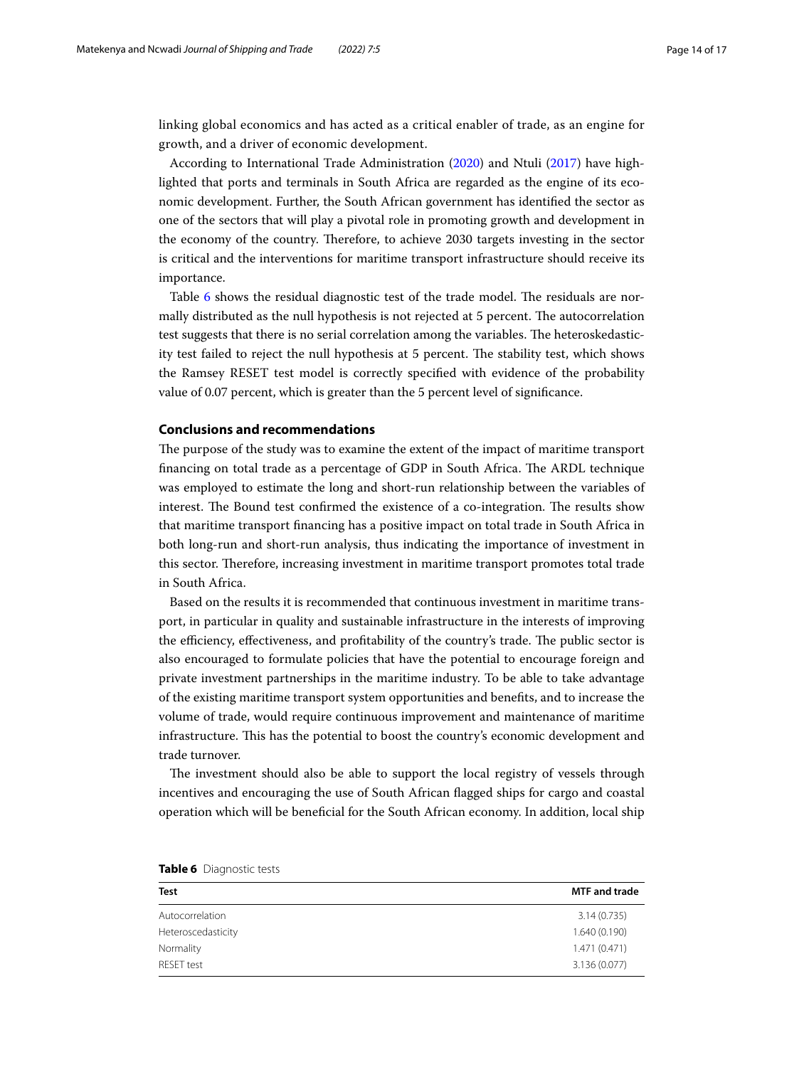linking global economics and has acted as a critical enabler of trade, as an engine for growth, and a driver of economic development.

According to International Trade Administration ([2020\)](#page-15-33) and Ntuli ([2017\)](#page-16-8) have highlighted that ports and terminals in South Africa are regarded as the engine of its economic development. Further, the South African government has identifed the sector as one of the sectors that will play a pivotal role in promoting growth and development in the economy of the country. Therefore, to achieve 2030 targets investing in the sector is critical and the interventions for maritime transport infrastructure should receive its importance.

Table [6](#page-13-0) shows the residual diagnostic test of the trade model. The residuals are normally distributed as the null hypothesis is not rejected at 5 percent. The autocorrelation test suggests that there is no serial correlation among the variables. The heteroskedasticity test failed to reject the null hypothesis at 5 percent. The stability test, which shows the Ramsey RESET test model is correctly specifed with evidence of the probability value of 0.07 percent, which is greater than the 5 percent level of signifcance.

## **Conclusions and recommendations**

The purpose of the study was to examine the extent of the impact of maritime transport financing on total trade as a percentage of GDP in South Africa. The ARDL technique was employed to estimate the long and short-run relationship between the variables of interest. The Bound test confirmed the existence of a co-integration. The results show that maritime transport fnancing has a positive impact on total trade in South Africa in both long-run and short-run analysis, thus indicating the importance of investment in this sector. Therefore, increasing investment in maritime transport promotes total trade in South Africa.

Based on the results it is recommended that continuous investment in maritime transport, in particular in quality and sustainable infrastructure in the interests of improving the efficiency, effectiveness, and profitability of the country's trade. The public sector is also encouraged to formulate policies that have the potential to encourage foreign and private investment partnerships in the maritime industry. To be able to take advantage of the existing maritime transport system opportunities and benefts, and to increase the volume of trade, would require continuous improvement and maintenance of maritime infrastructure. Tis has the potential to boost the country's economic development and trade turnover.

The investment should also be able to support the local registry of vessels through incentives and encouraging the use of South African fagged ships for cargo and coastal operation which will be benefcial for the South African economy. In addition, local ship

| <b>Test</b>        | <b>MTF</b> and trade |
|--------------------|----------------------|
| Autocorrelation    | 3.14(0.735)          |
| Heteroscedasticity | 1.640 (0.190)        |
| Normality          | 1.471(0.471)         |
| <b>RESET</b> test  | 3.136 (0.077)        |

<span id="page-13-0"></span>

|  | Table 6 Diagnostic tests |
|--|--------------------------|
|--|--------------------------|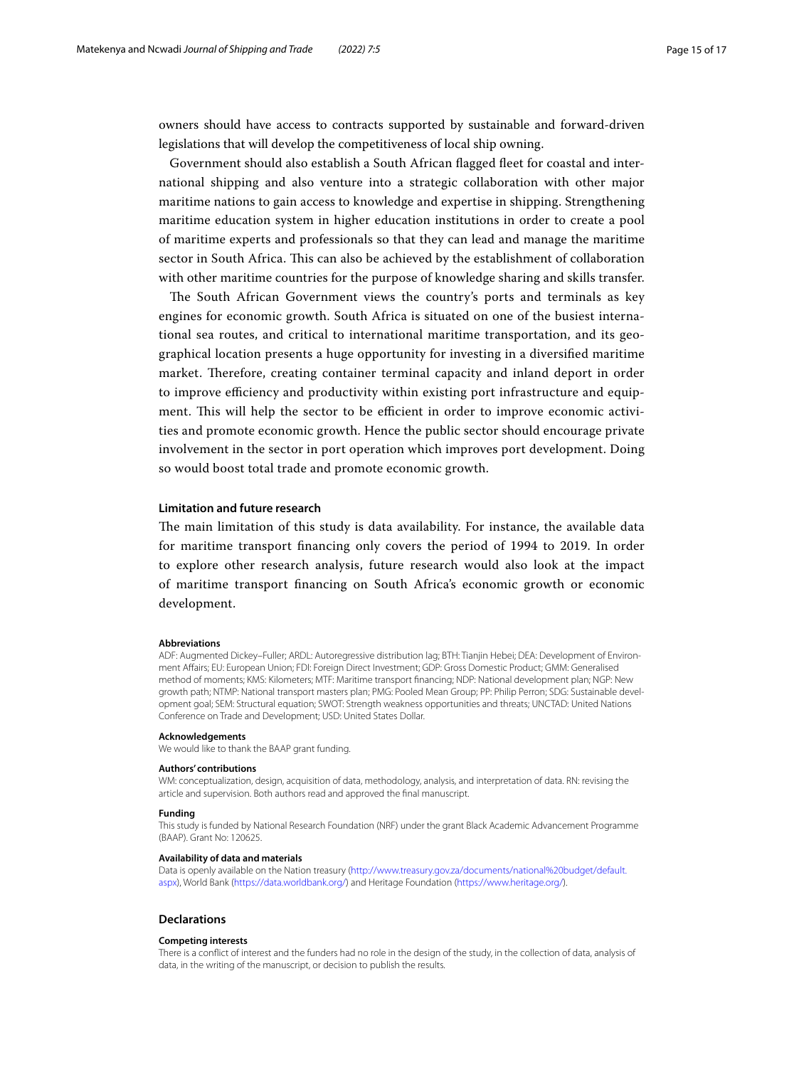owners should have access to contracts supported by sustainable and forward-driven legislations that will develop the competitiveness of local ship owning.

Government should also establish a South African fagged feet for coastal and international shipping and also venture into a strategic collaboration with other major maritime nations to gain access to knowledge and expertise in shipping. Strengthening maritime education system in higher education institutions in order to create a pool of maritime experts and professionals so that they can lead and manage the maritime sector in South Africa. This can also be achieved by the establishment of collaboration with other maritime countries for the purpose of knowledge sharing and skills transfer.

The South African Government views the country's ports and terminals as key engines for economic growth. South Africa is situated on one of the busiest international sea routes, and critical to international maritime transportation, and its geographical location presents a huge opportunity for investing in a diversifed maritime market. Therefore, creating container terminal capacity and inland deport in order to improve efficiency and productivity within existing port infrastructure and equipment. This will help the sector to be efficient in order to improve economic activities and promote economic growth. Hence the public sector should encourage private involvement in the sector in port operation which improves port development. Doing so would boost total trade and promote economic growth.

## **Limitation and future research**

The main limitation of this study is data availability. For instance, the available data for maritime transport fnancing only covers the period of 1994 to 2019. In order to explore other research analysis, future research would also look at the impact of maritime transport fnancing on South Africa's economic growth or economic development.

#### **Abbreviations**

ADF: Augmented Dickey–Fuller; ARDL: Autoregressive distribution lag; BTH: Tianjin Hebei; DEA: Development of Environment Afairs; EU: European Union; FDI: Foreign Direct Investment; GDP: Gross Domestic Product; GMM: Generalised method of moments; KMS: Kilometers; MTF: Maritime transport fnancing; NDP: National development plan; NGP: New growth path; NTMP: National transport masters plan; PMG: Pooled Mean Group; PP: Philip Perron; SDG: Sustainable development goal; SEM: Structural equation; SWOT: Strength weakness opportunities and threats; UNCTAD: United Nations Conference on Trade and Development; USD: United States Dollar.

#### **Acknowledgements**

We would like to thank the BAAP grant funding.

#### **Authors' contributions**

WM: conceptualization, design, acquisition of data, methodology, analysis, and interpretation of data. RN: revising the article and supervision. Both authors read and approved the fnal manuscript.

#### **Funding**

This study is funded by National Research Foundation (NRF) under the grant Black Academic Advancement Programme (BAAP). Grant No: 120625.

#### **Availability of data and materials**

Data is openly available on the Nation treasury ([http://www.treasury.gov.za/documents/national%20budget/default.](http://www.treasury.gov.za/documents/national%20budget/default.aspx) [aspx](http://www.treasury.gov.za/documents/national%20budget/default.aspx)), World Bank [\(https://data.worldbank.org/](https://data.worldbank.org/)) and Heritage Foundation (<https://www.heritage.org/>).

#### **Declarations**

#### **Competing interests**

There is a confict of interest and the funders had no role in the design of the study, in the collection of data, analysis of data, in the writing of the manuscript, or decision to publish the results.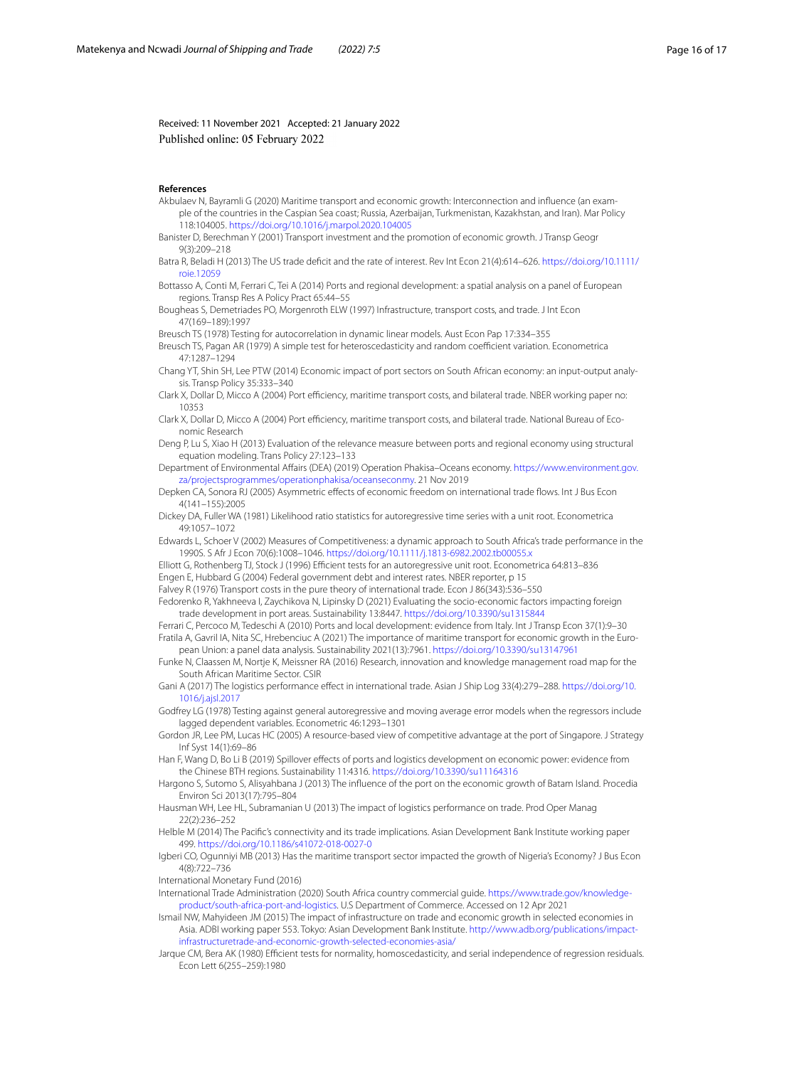Received: 11 November 2021 Accepted: 21 January 2022 Published online: 05 February 2022

#### **References**

<span id="page-15-23"></span>Akbulaev N, Bayramli G (2020) Maritime transport and economic growth: Interconnection and infuence (an example of the countries in the Caspian Sea coast; Russia, Azerbaijan, Turkmenistan, Kazakhstan, and Iran). Mar Policy 118:104005. <https://doi.org/10.1016/j.marpol.2020.104005>

<span id="page-15-10"></span>Banister D, Berechman Y (2001) Transport investment and the promotion of economic growth. J Transp Geogr 9(3):209–218

<span id="page-15-28"></span>Batra R, Beladi H (2013) The US trade defcit and the rate of interest. Rev Int Econ 21(4):614–626. [https://doi.org/10.1111/](https://doi.org/10.1111/roie.12059) [roie.12059](https://doi.org/10.1111/roie.12059)

<span id="page-15-16"></span>Bottasso A, Conti M, Ferrari C, Tei A (2014) Ports and regional development: a spatial analysis on a panel of European regions. Transp Res A Policy Pract 65:44–55

<span id="page-15-8"></span>Bougheas S, Demetriades PO, Morgenroth ELW (1997) Infrastructure, transport costs, and trade. J Int Econ 47(169–189):1997

<span id="page-15-29"></span>Breusch TS (1978) Testing for autocorrelation in dynamic linear models. Aust Econ Pap 17:334–355

<span id="page-15-31"></span>Breusch TS, Pagan AR (1979) A simple test for heteroscedasticity and random coefficient variation. Econometrica 47:1287–1294

<span id="page-15-21"></span>Chang YT, Shin SH, Lee PTW (2014) Economic impact of port sectors on South African economy: an input-output analysis. Transp Policy 35:333–340

<span id="page-15-6"></span>Clark X, Dollar D, Micco A (2004) Port efficiency, maritime transport costs, and bilateral trade. NBER working paper no: 10353

<span id="page-15-7"></span>Clark X, Dollar D, Micco A (2004) Port efficiency, maritime transport costs, and bilateral trade. National Bureau of Economic Research

<span id="page-15-15"></span>Deng P, Lu S, Xiao H (2013) Evaluation of the relevance measure between ports and regional economy using structural equation modeling. Trans Policy 27:123–133

<span id="page-15-0"></span>Department of Environmental Afairs (DEA) (2019) Operation Phakisa–Oceans economy. [https://www.environment.gov.](https://www.environment.gov.za/projectsprogrammes/operationphakisa/oceanseconmy) [za/projectsprogrammes/operationphakisa/oceanseconmy.](https://www.environment.gov.za/projectsprogrammes/operationphakisa/oceanseconmy) 21 Nov 2019

<span id="page-15-27"></span>Depken CA, Sonora RJ (2005) Asymmetric efects of economic freedom on international trade fows. Int J Bus Econ 4(141–155):2005

<span id="page-15-25"></span>Dickey DA, Fuller WA (1981) Likelihood ratio statistics for autoregressive time series with a unit root. Econometrica 49:1057–1072

<span id="page-15-4"></span>Edwards L, Schoer V (2002) Measures of Competitiveness: a dynamic approach to South Africa's trade performance in the 1990S. S Afr J Econ 70(6):1008–1046. <https://doi.org/10.1111/j.1813-6982.2002.tb00055.x>

<span id="page-15-26"></span><span id="page-15-9"></span>Elliott G, Rothenberg TJ, Stock J (1996) Efficient tests for an autoregressive unit root. Econometrica 64:813-836 Engen E, Hubbard G (2004) Federal government debt and interest rates. NBER reporter, p 15

<span id="page-15-13"></span>Falvey R (1976) Transport costs in the pure theory of international trade. Econ J 86(343):536–550

<span id="page-15-22"></span>Fedorenko R, Yakhneeva I, Zaychikova N, Lipinsky D (2021) Evaluating the socio-economic factors impacting foreign trade development in port areas. Sustainability 13:8447.<https://doi.org/10.3390/su1315844>

<span id="page-15-24"></span><span id="page-15-19"></span>Ferrari C, Percoco M, Tedeschi A (2010) Ports and local development: evidence from Italy. Int J Transp Econ 37(1):9–30 Fratila A, Gavril IA, Nita SC, Hrebenciuc A (2021) The importance of maritime transport for economic growth in the Euro-

<span id="page-15-3"></span>pean Union: a panel data analysis. Sustainability 2021(13):7961. <https://doi.org/10.3390/su13147961> Funke N, Claassen M, Nortje K, Meissner RA (2016) Research, innovation and knowledge management road map for the South African Maritime Sector. CSIR

<span id="page-15-20"></span>Gani A (2017) The logistics performance efect in international trade. Asian J Ship Log 33(4):279–288. [https://doi.org/10.](https://doi.org/10.1016/j.ajsl.2017) [1016/j.ajsl.2017](https://doi.org/10.1016/j.ajsl.2017)

<span id="page-15-30"></span>Godfrey LG (1978) Testing against general autoregressive and moving average error models when the regressors include lagged dependent variables. Econometric 46:1293–1301

<span id="page-15-12"></span>Gordon JR, Lee PM, Lucas HC (2005) A resource-based view of competitive advantage at the port of Singapore. J Strategy Inf Syst 14(1):69–86

<span id="page-15-18"></span>Han F, Wang D, Bo Li B (2019) Spillover efects of ports and logistics development on economic power: evidence from the Chinese BTH regions. Sustainability 11:4316. <https://doi.org/10.3390/su11164316>

<span id="page-15-14"></span>Hargono S, Sutomo S, Alisyahbana J (2013) The infuence of the port on the economic growth of Batam Island. Procedia Environ Sci 2013(17):795–804

<span id="page-15-11"></span>Hausman WH, Lee HL, Subramanian U (2013) The impact of logistics performance on trade. Prod Oper Manag 22(2):236–252

<span id="page-15-17"></span>Helble M (2014) The Pacifc's connectivity and its trade implications. Asian Development Bank Institute working paper 499. <https://doi.org/10.1186/s41072-018-0027-0>

<span id="page-15-2"></span>Igberi CO, Ogunniyi MB (2013) Has the maritime transport sector impacted the growth of Nigeria's Economy? J Bus Econ 4(8):722–736

<span id="page-15-5"></span>International Monetary Fund (2016)

<span id="page-15-33"></span>International Trade Administration (2020) South Africa country commercial guide. [https://www.trade.gov/knowledge](https://www.trade.gov/knowledge-product/south-africa-port-and-logistics)[product/south-africa-port-and-logistics.](https://www.trade.gov/knowledge-product/south-africa-port-and-logistics) U.S Department of Commerce. Accessed on 12 Apr 2021

<span id="page-15-1"></span>Ismail NW, Mahyideen JM (2015) The impact of infrastructure on trade and economic growth in selected economies in Asia. ADBI working paper 553. Tokyo: Asian Development Bank Institute. [http://www.adb.org/publications/impact](http://www.adb.org/publications/impact-infrastructuretrade-and-economic-growth-selected-economies-asia/)[infrastructuretrade-and-economic-growth-selected-economies-asia/](http://www.adb.org/publications/impact-infrastructuretrade-and-economic-growth-selected-economies-asia/)

<span id="page-15-32"></span>Jarque CM, Bera AK (1980) Efficient tests for normality, homoscedasticity, and serial independence of regression residuals. Econ Lett 6(255–259):1980